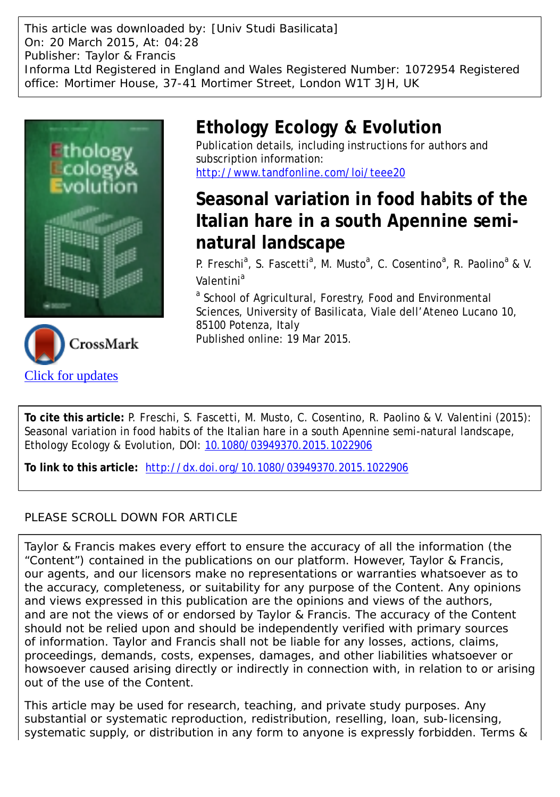This article was downloaded by: [Univ Studi Basilicata] On: 20 March 2015, At: 04:28 Publisher: Taylor & Francis Informa Ltd Registered in England and Wales Registered Number: 1072954 Registered office: Mortimer House, 37-41 Mortimer Street, London W1T 3JH, UK





## **Ethology Ecology & Evolution**

Publication details, including instructions for authors and subscription information: <http://www.tandfonline.com/loi/teee20>

# **Seasonal variation in food habits of the Italian hare in a south Apennine seminatural landscape**

P. Freschi<sup>a</sup>, S. Fascetti<sup>a</sup>, M. Musto<sup>a</sup>, C. Cosentino<sup>a</sup>, R. Paolino<sup>a</sup> & V. Valentini<sup>a</sup>

<sup>a</sup> School of Agricultural, Forestry, Food and Environmental Sciences, University of Basilicata, Viale dell'Ateneo Lucano 10, 85100 Potenza, Italy Published online: 19 Mar 2015.

**To cite this article:** P. Freschi, S. Fascetti, M. Musto, C. Cosentino, R. Paolino & V. Valentini (2015): Seasonal variation in food habits of the Italian hare in a south Apennine semi-natural landscape, Ethology Ecology & Evolution, DOI: [10.1080/03949370.2015.1022906](http://www.tandfonline.com/action/showCitFormats?doi=10.1080/03949370.2015.1022906)

**To link to this article:** <http://dx.doi.org/10.1080/03949370.2015.1022906>

### PLEASE SCROLL DOWN FOR ARTICLE

Taylor & Francis makes every effort to ensure the accuracy of all the information (the "Content") contained in the publications on our platform. However, Taylor & Francis, our agents, and our licensors make no representations or warranties whatsoever as to the accuracy, completeness, or suitability for any purpose of the Content. Any opinions and views expressed in this publication are the opinions and views of the authors, and are not the views of or endorsed by Taylor & Francis. The accuracy of the Content should not be relied upon and should be independently verified with primary sources of information. Taylor and Francis shall not be liable for any losses, actions, claims, proceedings, demands, costs, expenses, damages, and other liabilities whatsoever or howsoever caused arising directly or indirectly in connection with, in relation to or arising out of the use of the Content.

This article may be used for research, teaching, and private study purposes. Any substantial or systematic reproduction, redistribution, reselling, loan, sub-licensing, systematic supply, or distribution in any form to anyone is expressly forbidden. Terms &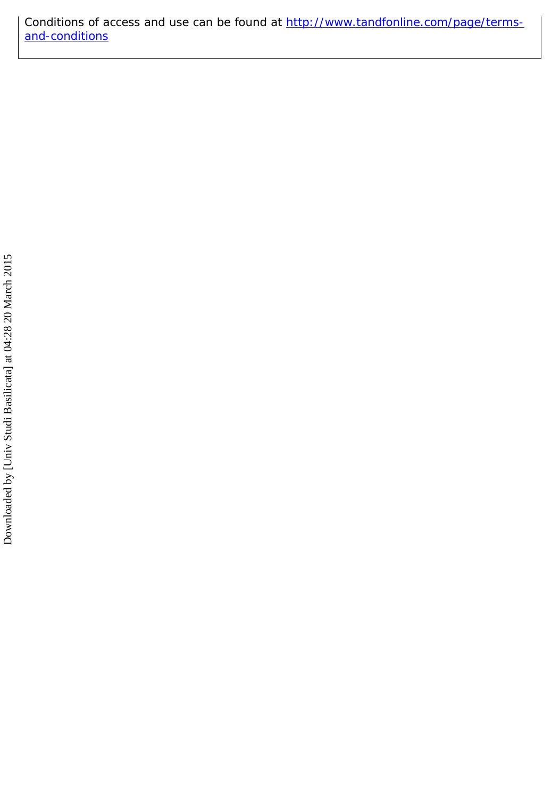Conditions of access and use can be found at [http://www.tandfonline.com/page/terms](http://www.tandfonline.com/page/terms-and-conditions)[and-conditions](http://www.tandfonline.com/page/terms-and-conditions)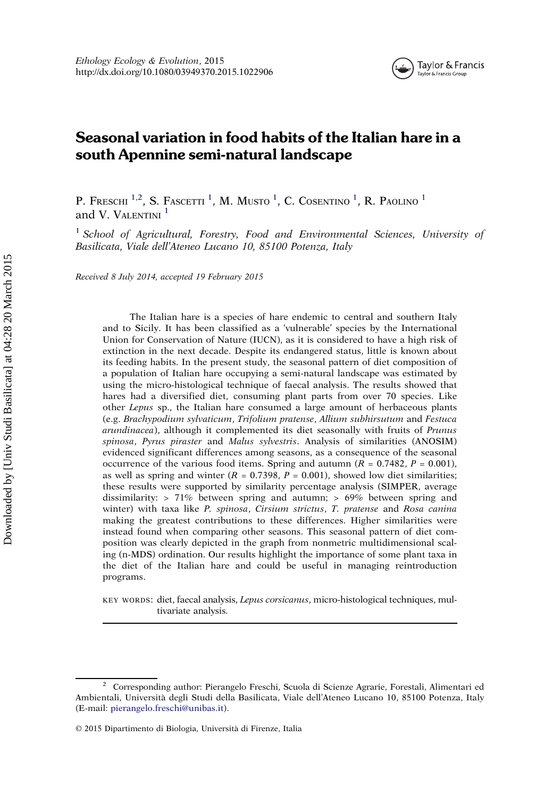

## Seasonal variation in food habits of the Italian hare in a south Apennine semi-natural landscape

P. Freschi <sup>1,2</sup>, S. Fascetti <sup>1</sup>, M. Musto <sup>1</sup>, C. Cosentino <sup>1</sup>, R. Paolino <sup>1</sup> and V. VALENTINI<sup>1</sup>

<sup>1</sup> School of Agricultural, Forestry, Food and Environmental Sciences, University of Basilicata, Viale dell'Ateneo Lucano 10, 85100 Potenza, Italy

Received 8 July 2014, accepted 19 February 2015

The Italian hare is a species of hare endemic to central and southern Italy and to Sicily. It has been classified as a 'vulnerable' species by the International Union for Conservation of Nature (IUCN), as it is considered to have a high risk of extinction in the next decade. Despite its endangered status, little is known about its feeding habits. In the present study, the seasonal pattern of diet composition of a population of Italian hare occupying a semi-natural landscape was estimated by using the micro-histological technique of faecal analysis. The results showed that hares had a diversified diet, consuming plant parts from over 70 species. Like other Lepus sp., the Italian hare consumed a large amount of herbaceous plants (e.g. Brachypodium sylvaticum, Trifolium pratense, Allium subhirsutum and Festuca arundinacea), although it complemented its diet seasonally with fruits of Prunus spinosa, Pyrus piraster and Malus sylvestris. Analysis of similarities (ANOSIM) evidenced significant differences among seasons, as a consequence of the seasonal occurrence of the various food items. Spring and autumn ( $R = 0.7482$ ,  $P = 0.001$ ), as well as spring and winter  $(R = 0.7398, P = 0.001)$ , showed low diet similarities; these results were supported by similarity percentage analysis (SIMPER, average dissimilarity:  $> 71\%$  between spring and autumn;  $> 69\%$  between spring and winter) with taxa like P. spinosa, Cirsium strictus, T. pratense and Rosa canina making the greatest contributions to these differences. Higher similarities were instead found when comparing other seasons. This seasonal pattern of diet composition was clearly depicted in the graph from nonmetric multidimensional scaling (n-MDS) ordination. Our results highlight the importance of some plant taxa in the diet of the Italian hare and could be useful in managing reintroduction programs.

KEY WORDS: diet, faecal analysis, Lepus corsicanus, micro-histological techniques, multivariate analysis.

<sup>2</sup> Corresponding author: Pierangelo Freschi, Scuola di Scienze Agrarie, Forestali, Alimentari ed Ambientali, Università degli Studi della Basilicata, Viale dell'Ateneo Lucano 10, 85100 Potenza, Italy (E‑mail: [pierangelo.freschi@unibas.it](mailto:pierangelo.freschi@unibas.it)).

<sup>© 2015</sup> Dipartimento di Biologia, Università di Firenze, Italia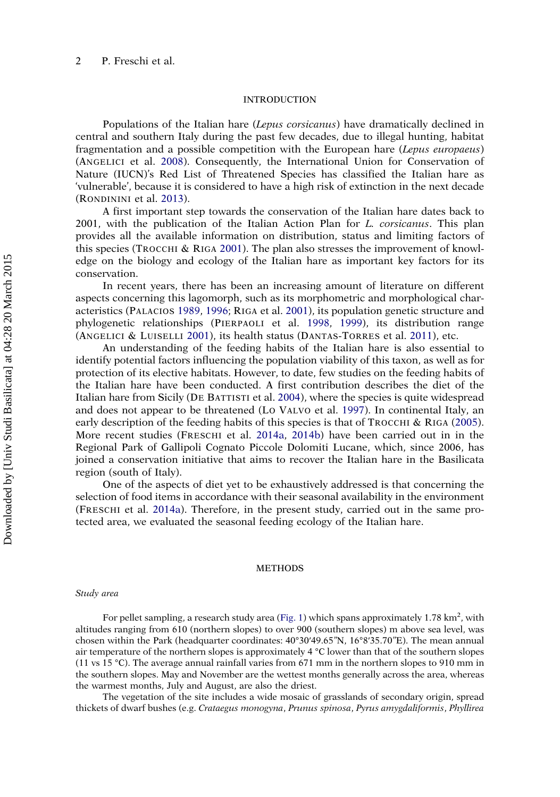#### **INTRODUCTION**

Populations of the Italian hare *(Lepus corsicanus)* have dramatically declined in central and southern Italy during the past few decades, due to illegal hunting, habitat fragmentation and a possible competition with the European hare (Lepus europaeus) (ANGELICI et al. [2008\)](#page-14-0). Consequently, the International Union for Conservation of Nature (IUCN)'s Red List of Threatened Species has classified the Italian hare as 'vulnerable', because it is considered to have a high risk of extinction in the next decade (RONDININI et al. [2013\)](#page-16-0).

A first important step towards the conservation of the Italian hare dates back to 2001, with the publication of the Italian Action Plan for  $L$ . *corsicanus*. This plan provides all the available information on distribution, status and limiting factors of this species (TROCCHI & RIGA [2001\)](#page-16-0). The plan also stresses the improvement of knowledge on the biology and ecology of the Italian hare as important key factors for its conservation.

In recent years, there has been an increasing amount of literature on different aspects concerning this lagomorph, such as its morphometric and morphological characteristics (PALACIOS [1989](#page-15-0), [1996;](#page-15-0) RIGA et al. [2001\)](#page-16-0), its population genetic structure and phylogenetic relationships (PIERPAOLI et al. [1998](#page-15-0), [1999](#page-16-0)), its distribution range (ANGELICI & LUISELLI [2001\)](#page-14-0), its health status (DANTAS-TORRES et al. [2011](#page-14-0)), etc.

An understanding of the feeding habits of the Italian hare is also essential to identify potential factors influencing the population viability of this taxon, as well as for protection of its elective habitats. However, to date, few studies on the feeding habits of the Italian hare have been conducted. A first contribution describes the diet of the Italian hare from Sicily (DE BATTISTI et al. [2004\)](#page-14-0), where the species is quite widespread and does not appear to be threatened (LO VALVO et al. [1997](#page-15-0)). In continental Italy, an early description of the feeding habits of this species is that of TROCCHI & RIGA [\(2005\)](#page-16-0). More recent studies (FRESCHI et al. [2014a](#page-14-0), [2014b](#page-14-0)) have been carried out in in the Regional Park of Gallipoli Cognato Piccole Dolomiti Lucane, which, since 2006, has joined a conservation initiative that aims to recover the Italian hare in the Basilicata region (south of Italy).

One of the aspects of diet yet to be exhaustively addressed is that concerning the selection of food items in accordance with their seasonal availability in the environment (FRESCHI et al. [2014a](#page-14-0)). Therefore, in the present study, carried out in the same protected area, we evaluated the seasonal feeding ecology of the Italian hare.

#### **METHODS**

#### Study area

For pellet sampling, a research study area ([Fig. 1](#page-4-0)) which spans approximately 1.78 km<sup>2</sup>, with altitudes ranging from 610 (northern slopes) to over 900 (southern slopes) m above sea level, was chosen within the Park (headquarter coordinates: 40°30ʹ49.65"N, 16°8ʹ35.70"E). The mean annual air temperature of the northern slopes is approximately 4 °C lower than that of the southern slopes (11 vs 15 °C). The average annual rainfall varies from 671 mm in the northern slopes to 910 mm in the southern slopes. May and November are the wettest months generally across the area, whereas the warmest months, July and August, are also the driest.

The vegetation of the site includes a wide mosaic of grasslands of secondary origin, spread thickets of dwarf bushes (e.g. Crataegus monogyna, Prunus spinosa, Pyrus amygdaliformis, Phyllirea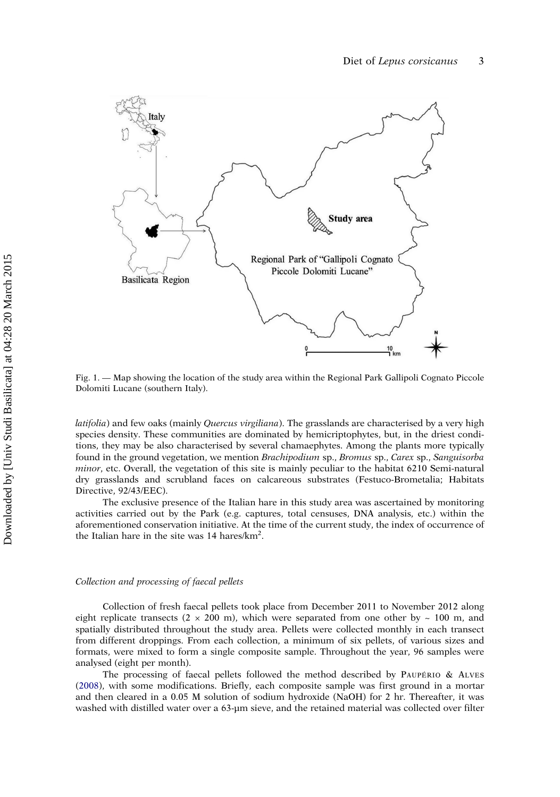<span id="page-4-0"></span>

Fig. 1. — Map showing the location of the study area within the Regional Park Gallipoli Cognato Piccole Dolomiti Lucane (southern Italy).

latifolia) and few oaks (mainly Quercus virgiliana). The grasslands are characterised by a very high species density. These communities are dominated by hemicriptophytes, but, in the driest conditions, they may be also characterised by several chamaephytes. Among the plants more typically found in the ground vegetation, we mention Brachipodium sp., Bromus sp., Carex sp., Sanguisorba minor, etc. Overall, the vegetation of this site is mainly peculiar to the habitat 6210 Semi-natural dry grasslands and scrubland faces on calcareous substrates (Festuco-Brometalia; Habitats Directive, 92/43/EEC).

The exclusive presence of the Italian hare in this study area was ascertained by monitoring activities carried out by the Park (e.g. captures, total censuses, DNA analysis, etc.) within the aforementioned conservation initiative. At the time of the current study, the index of occurrence of the Italian hare in the site was 14 hares/km<sup>2</sup>.

#### Collection and processing of faecal pellets

Collection of fresh faecal pellets took place from December 2011 to November 2012 along eight replicate transects ( $2 \times 200$  m), which were separated from one other by  $\sim 100$  m, and spatially distributed throughout the study area. Pellets were collected monthly in each transect from different droppings. From each collection, a minimum of six pellets, of various sizes and formats, were mixed to form a single composite sample. Throughout the year, 96 samples were analysed (eight per month).

The processing of faecal pellets followed the method described by PAUPÉRIO & ALVES ([2008](#page-15-0)), with some modifications. Briefly, each composite sample was first ground in a mortar and then cleared in a 0.05 M solution of sodium hydroxide (NaOH) for 2 hr. Thereafter, it was washed with distilled water over a 63-µm sieve, and the retained material was collected over filter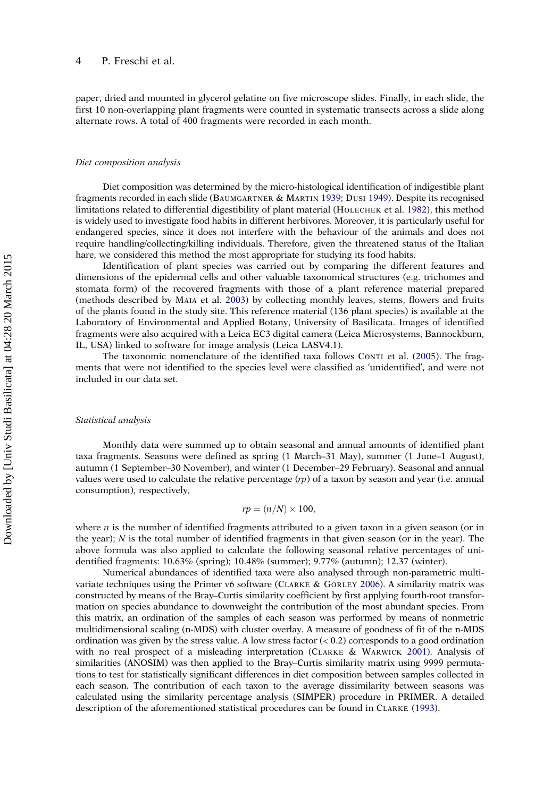#### 4 P. Freschi et al.

paper, dried and mounted in glycerol gelatine on five microscope slides. Finally, in each slide, the first 10 non-overlapping plant fragments were counted in systematic transects across a slide along alternate rows. A total of 400 fragments were recorded in each month.

#### Diet composition analysis

Diet composition was determined by the micro-histological identification of indigestible plant fragments recorded in each slide (BAUMGARTNER & MARTIN [1939](#page-14-0); DUSI [1949\)](#page-14-0). Despite its recognised limitations related to differential digestibility of plant material (HOLECHEK et al. [1982\)](#page-15-0), this method is widely used to investigate food habits in different herbivores. Moreover, it is particularly useful for endangered species, since it does not interfere with the behaviour of the animals and does not require handling/collecting/killing individuals. Therefore, given the threatened status of the Italian hare, we considered this method the most appropriate for studying its food habits.

Identification of plant species was carried out by comparing the different features and dimensions of the epidermal cells and other valuable taxonomical structures (e.g. trichomes and stomata form) of the recovered fragments with those of a plant reference material prepared (methods described by MAIA et al. [2003](#page-15-0)) by collecting monthly leaves, stems, flowers and fruits of the plants found in the study site. This reference material (136 plant species) is available at the Laboratory of Environmental and Applied Botany, University of Basilicata. Images of identified fragments were also acquired with a Leica EC3 digital camera (Leica Microsystems, Bannockburn, IL, USA) linked to software for image analysis (Leica LASV4.1).

The taxonomic nomenclature of the identified taxa follows CONTI et al. [\(2005\)](#page-14-0). The fragments that were not identified to the species level were classified as 'unidentified', and were not included in our data set.

#### Statistical analysis

Monthly data were summed up to obtain seasonal and annual amounts of identified plant taxa fragments. Seasons were defined as spring (1 March–31 May), summer (1 June–1 August), autumn (1 September–30 November), and winter (1 December–29 February). Seasonal and annual values were used to calculate the relative percentage  $(rp)$  of a taxon by season and year (i.e. annual consumption), respectively,

$$
rp = (n/N) \times 100,
$$

where  $n$  is the number of identified fragments attributed to a given taxon in a given season (or in the year);  $N$  is the total number of identified fragments in that given season (or in the year). The above formula was also applied to calculate the following seasonal relative percentages of unidentified fragments: 10.63% (spring); 10.48% (summer); 9.77% (autumn); 12.37 (winter).

Numerical abundances of identified taxa were also analysed through non-parametric multivariate techniques using the Primer v6 software (CLARKE & GORLEY [2006\)](#page-14-0). A similarity matrix was constructed by means of the Bray–Curtis similarity coefficient by first applying fourth-root transformation on species abundance to downweight the contribution of the most abundant species. From this matrix, an ordination of the samples of each season was performed by means of nonmetric multidimensional scaling (n-MDS) with cluster overlay. A measure of goodness of fit of the n-MDS ordination was given by the stress value. A low stress factor  $(0.2)$  corresponds to a good ordination with no real prospect of a misleading interpretation (CLARKE & WARWICK [2001](#page-14-0)). Analysis of similarities (ANOSIM) was then applied to the Bray–Curtis similarity matrix using 9999 permutations to test for statistically significant differences in diet composition between samples collected in each season. The contribution of each taxon to the average dissimilarity between seasons was calculated using the similarity percentage analysis (SIMPER) procedure in PRIMER. A detailed description of the aforementioned statistical procedures can be found in CLARKE ([1993\)](#page-14-0).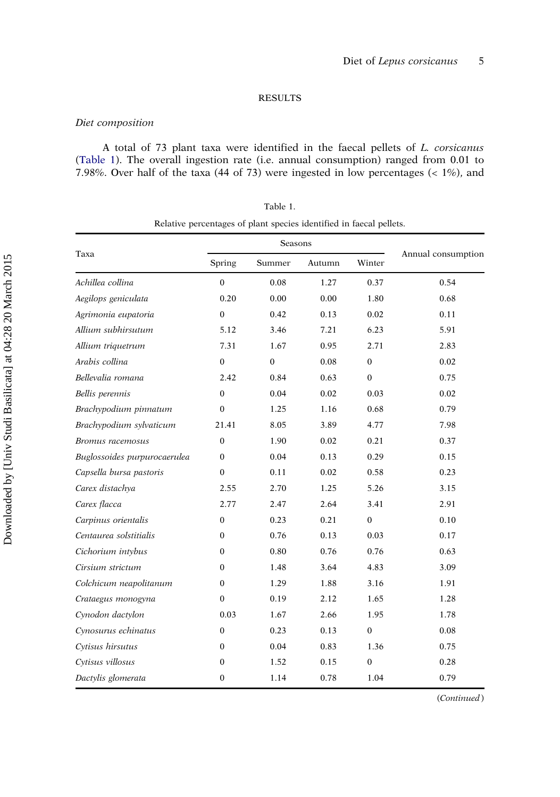#### RESULTS

#### Diet composition

A total of 73 plant taxa were identified in the faecal pellets of L. corsicanus (Table 1). The overall ingestion rate (i.e. annual consumption) ranged from 0.01 to 7.98%. Over half of the taxa (44 of 73) were ingested in low percentages (< 1%), and

| able |  |
|------|--|
|      |  |

|                              |              | Seasons          |        |                  |                    |
|------------------------------|--------------|------------------|--------|------------------|--------------------|
| Taxa                         | Spring       | Summer           | Autumn | Winter           | Annual consumption |
| Achillea collina             | $\mathbf{0}$ | 0.08             | 1.27   | 0.37             | 0.54               |
| Aegilops geniculata          | 0.20         | 0.00             | 0.00   | 1.80             | 0.68               |
| Agrimonia eupatoria          | $\mathbf{0}$ | 0.42             | 0.13   | 0.02             | 0.11               |
| Allium subhirsutum           | 5.12         | 3.46             | 7.21   | 6.23             | 5.91               |
| Allium triquetrum            | 7.31         | 1.67             | 0.95   | 2.71             | 2.83               |
| Arabis collina               | $\bf{0}$     | $\boldsymbol{0}$ | 0.08   | $\bf{0}$         | 0.02               |
| Bellevalia romana            | 2.42         | 0.84             | 0.63   | $\mathbf{0}$     | 0.75               |
| Bellis perennis              | $\mathbf{0}$ | 0.04             | 0.02   | 0.03             | 0.02               |
| Brachypodium pinnatum        | $\mathbf{0}$ | 1.25             | 1.16   | 0.68             | 0.79               |
| Brachypodium sylvaticum      | 21.41        | 8.05             | 3.89   | 4.77             | 7.98               |
| Bromus racemosus             | $\Omega$     | 1.90             | 0.02   | 0.21             | 0.37               |
| Buglossoides purpurocaerulea | $\mathbf{0}$ | 0.04             | 0.13   | 0.29             | 0.15               |
| Capsella bursa pastoris      | $\mathbf{0}$ | 0.11             | 0.02   | 0.58             | 0.23               |
| Carex distachya              | 2.55         | 2.70             | 1.25   | 5.26             | 3.15               |
| Carex flacca                 | 2.77         | 2.47             | 2.64   | 3.41             | 2.91               |
| Carpinus orientalis          | 0            | 0.23             | 0.21   | $\boldsymbol{0}$ | 0.10               |
| Centaurea solstitialis       | $\mathbf{0}$ | 0.76             | 0.13   | 0.03             | 0.17               |
| Cichorium intybus            | $\mathbf{0}$ | 0.80             | 0.76   | 0.76             | 0.63               |
| Cirsium strictum             | $\Omega$     | 1.48             | 3.64   | 4.83             | 3.09               |
| Colchicum neapolitanum       | $\mathbf{0}$ | 1.29             | 1.88   | 3.16             | 1.91               |
| Crataegus monogyna           | $\Omega$     | 0.19             | 2.12   | 1.65             | 1.28               |
| Cynodon dactylon             | 0.03         | 1.67             | 2.66   | 1.95             | 1.78               |
| Cynosurus echinatus          | $\mathbf{0}$ | 0.23             | 0.13   | $\boldsymbol{0}$ | 0.08               |
| Cytisus hirsutus             | $\mathbf{0}$ | 0.04             | 0.83   | 1.36             | 0.75               |
| Cytisus villosus             | $\mathbf{0}$ | 1.52             | 0.15   | $\mathbf{0}$     | 0.28               |
| Dactylis glomerata           | $\bf{0}$     | 1.14             | 0.78   | 1.04             | 0.79               |

(Continued)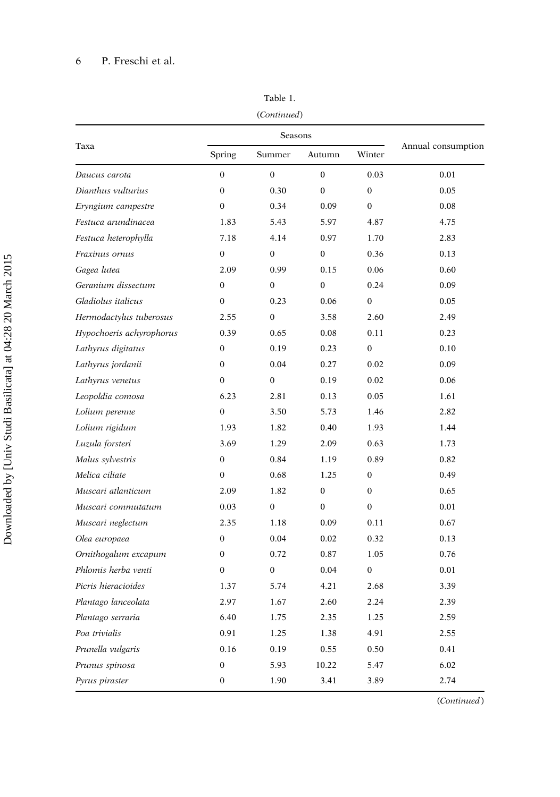### 6 P. Freschi et al.

|                          |                  | Seasons      |                |                  |                    |
|--------------------------|------------------|--------------|----------------|------------------|--------------------|
| Taxa                     | Spring           | Summer       | Autumn         | Winter           | Annual consumption |
| Daucus carota            | $\boldsymbol{0}$ | $\mathbf{0}$ | $\mathbf{0}$   | 0.03             | 0.01               |
| Dianthus vulturius       | $\theta$         | 0.30         | $\Omega$       | $\Omega$         | 0.05               |
| Eryngium campestre       | $\Omega$         | 0.34         | 0.09           | $\mathbf{0}$     | 0.08               |
| Festuca arundinacea      | 1.83             | 5.43         | 5.97           | 4.87             | 4.75               |
| Festuca heterophylla     | 7.18             | 4.14         | 0.97           | 1.70             | 2.83               |
| Fraxinus ornus           | $\mathbf{0}$     | $\mathbf{0}$ | $\overline{0}$ | 0.36             | 0.13               |
| Gagea lutea              | 2.09             | 0.99         | 0.15           | 0.06             | 0.60               |
| Geranium dissectum       | $\mathbf{0}$     | $\mathbf{0}$ | $\overline{0}$ | 0.24             | 0.09               |
| Gladiolus italicus       | $\mathbf{0}$     | 0.23         | 0.06           | $\boldsymbol{0}$ | 0.05               |
| Hermodactylus tuberosus  | 2.55             | $\bf{0}$     | 3.58           | 2.60             | 2.49               |
| Hypochoeris achyrophorus | 0.39             | 0.65         | 0.08           | 0.11             | 0.23               |
| Lathyrus digitatus       | $\boldsymbol{0}$ | 0.19         | 0.23           | $\boldsymbol{0}$ | 0.10               |
| Lathyrus jordanii        | $\mathbf{0}$     | 0.04         | 0.27           | 0.02             | 0.09               |
| Lathyrus venetus         | $\mathbf{0}$     | $\bf{0}$     | 0.19           | 0.02             | 0.06               |
| Leopoldia comosa         | 6.23             | 2.81         | 0.13           | 0.05             | 1.61               |
| Lolium perenne           | $\mathbf{0}$     | 3.50         | 5.73           | 1.46             | 2.82               |
| Lolium rigidum           | 1.93             | 1.82         | 0.40           | 1.93             | 1.44               |
| Luzula forsteri          | 3.69             | 1.29         | 2.09           | 0.63             | 1.73               |
| Malus sylvestris         | $\Omega$         | 0.84         | 1.19           | 0.89             | 0.82               |
| Melica ciliate           | $\mathbf{0}$     | 0.68         | 1.25           | $\boldsymbol{0}$ | 0.49               |
| Muscari atlanticum       | 2.09             | 1.82         | $\mathbf{0}$   | $\mathbf{0}$     | 0.65               |
| Muscari commutatum       | 0.03             | $\mathbf{0}$ | $\overline{0}$ | $\mathbf{0}$     | 0.01               |
| Muscari neglectum        | 2.35             | 1.18         | 0.09           | 0.11             | 0.67               |
| Olea europaea            | $\mathbf{0}$     | 0.04         | 0.02           | 0.32             | 0.13               |
| Ornithogalum excapum     | $\mathbf{0}$     | 0.72         | 0.87           | 1.05             | 0.76               |
| Phlomis herba venti      | $\mathbf{0}$     | $\bf{0}$     | 0.04           | $\boldsymbol{0}$ | 0.01               |
| Picris hieracioides      | 1.37             | 5.74         | 4.21           | 2.68             | 3.39               |
| Plantago lanceolata      | 2.97             | 1.67         | 2.60           | 2.24             | 2.39               |
| Plantago serraria        | 6.40             | 1.75         | 2.35           | 1.25             | 2.59               |
| Poa trivialis            | 0.91             | 1.25         | 1.38           | 4.91             | 2.55               |
| Prunella vulgaris        | 0.16             | 0.19         | 0.55           | 0.50             | 0.41               |
| Prunus spinosa           | $\mathbf{0}$     | 5.93         | 10.22          | 5.47             | 6.02               |
| Pyrus piraster           | $\mathbf{0}$     | 1.90         | 3.41           | 3.89             | 2.74               |

Table 1.

(Continued)

(Continued)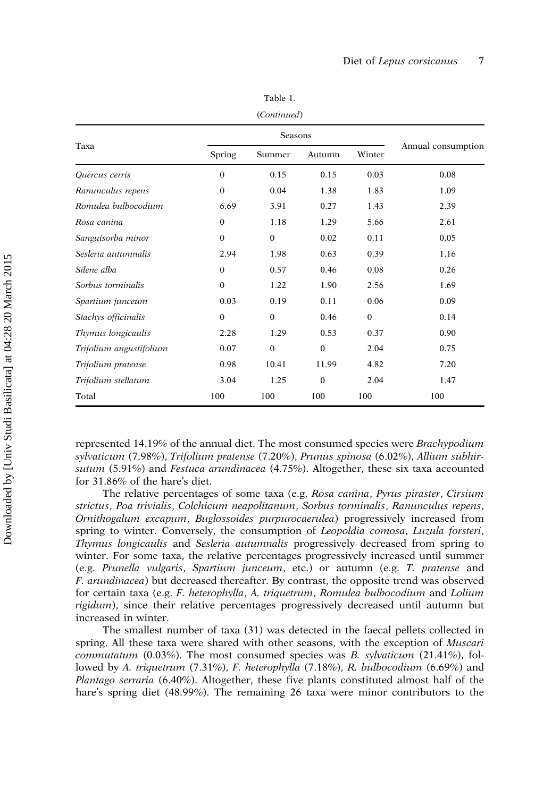| Taxa                    | Spring       | Summer           | Autumn   | Winter       | Annual consumption |
|-------------------------|--------------|------------------|----------|--------------|--------------------|
| Ouercus cerris          | $\mathbf{0}$ | 0.15             | 0.15     | 0.03         | 0.08               |
| Ranunculus repens       | $\mathbf{0}$ | 0.04             | 1.38     | 1.83         | 1.09               |
| Romulea bulbocodium     | 6.69         | 3.91             | 0.27     | 1.43         | 2.39               |
| Rosa canina             | $\mathbf{0}$ | 1.18             | 1.29     | 5.66         | 2.61               |
| Sanguisorba minor       | $\Omega$     | $\boldsymbol{0}$ | 0.02     | 0.11         | 0.05               |
| Sesleria autumnalis     | 2.94         | 1.98             | 0.63     | 0.39         | 1.16               |
| Silene alba             | $\mathbf{0}$ | 0.57             | 0.46     | 0.08         | 0.26               |
| Sorbus torminalis       | $\mathbf{0}$ | 1.22             | 1.90     | 2.56         | 1.69               |
| Spartium junceum        | 0.03         | 0.19             | 0.11     | 0.06         | 0.09               |
| Stachys officinalis     | $\mathbf{0}$ | $\mathbf{0}$     | 0.46     | $\mathbf{0}$ | 0.14               |
| Thymus longicaulis      | 2.28         | 1.29             | 0.53     | 0.37         | 0.90               |
| Trifolium angustifolium | 0.07         | $\mathbf{0}$     | $\Omega$ | 2.04         | 0.75               |
| Trifolium pratense      | 0.98         | 10.41            | 11.99    | 4.82         | 7.20               |
| Trifolium stellatum     | 3.04         | 1.25             | $\theta$ | 2.04         | 1.47               |
| Total                   | 100          | 100              | 100      | 100          | 100                |

Table 1.

(Continued)

represented 14.19% of the annual diet. The most consumed species were Brachypodium sylvaticum (7.98%), Trifolium pratense (7.20%), Prunus spinosa (6.02%), Allium subhirsutum (5.91%) and Festuca arundinacea (4.75%). Altogether, these six taxa accounted for 31.86% of the hare's diet.

The relative percentages of some taxa (e.g. Rosa canina, Pyrus piraster, Cirsium strictus, Poa trivialis, Colchicum neapolitanum, Sorbus torminalis, Ranunculus repens, Ornithogalum excapum, Buglossoides purpurocaerulea) progressively increased from spring to winter. Conversely, the consumption of *Leopoldia comosa*, *Luzula forsteri*, Thymus longicaulis and Sesleria autumnalis progressively decreased from spring to winter. For some taxa, the relative percentages progressively increased until summer (e.g. Prunella vulgaris, Spartium junceum, etc.) or autumn (e.g. T. pratense and F. arundinacea) but decreased thereafter. By contrast, the opposite trend was observed for certain taxa (e.g. F. heterophylla, A. triquetrum, Romulea bulbocodium and Lolium rigidum), since their relative percentages progressively decreased until autumn but increased in winter.

The smallest number of taxa (31) was detected in the faecal pellets collected in spring. All these taxa were shared with other seasons, with the exception of *Muscari commutatum*  $(0.03\%)$ . The most consumed species was B. sylvaticum  $(21.41\%)$ , followed by A. triquetrum (7.31%), F. heterophylla (7.18%), R. bulbocodium (6.69%) and Plantago serraria (6.40%). Altogether, these five plants constituted almost half of the hare's spring diet (48.99%). The remaining 26 taxa were minor contributors to the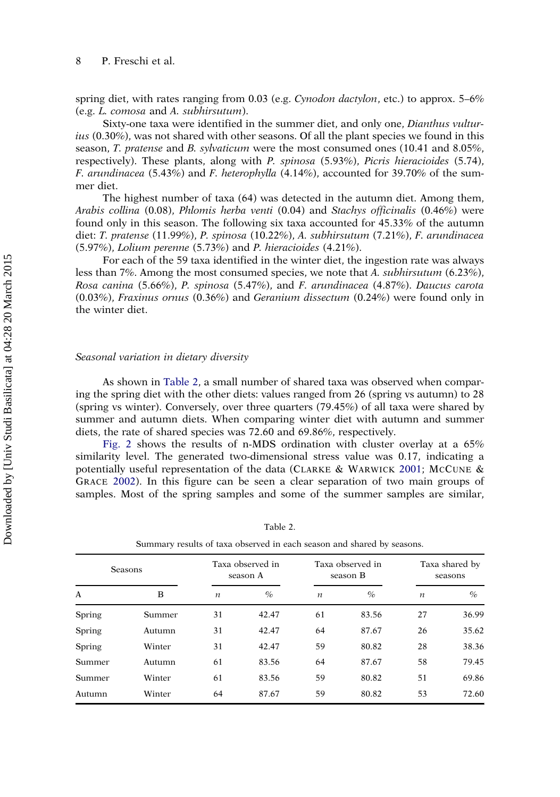spring diet, with rates ranging from 0.03 (e.g. Cynodon dactylon, etc.) to approx. 5–6% (e.g. L. comosa and A. subhirsutum).

Sixty-one taxa were identified in the summer diet, and only one, Dianthus vulturius (0.30%), was not shared with other seasons. Of all the plant species we found in this season, T. pratense and B. sylvaticum were the most consumed ones (10.41 and 8.05%, respectively). These plants, along with P. spinosa (5.93%), Picris hieracioides (5.74), F. arundinacea (5.43%) and F. heterophylla (4.14%), accounted for 39.70% of the summer diet.

The highest number of taxa (64) was detected in the autumn diet. Among them, Arabis collina (0.08), Phlomis herba venti (0.04) and Stachys officinalis (0.46%) were found only in this season. The following six taxa accounted for 45.33% of the autumn diet: T. pratense (11.99%), P. spinosa (10.22%), A. subhirsutum (7.21%), F. arundinacea (5.97%), Lolium perenne (5.73%) and P. hieracioides (4.21%).

For each of the 59 taxa identified in the winter diet, the ingestion rate was always less than 7%. Among the most consumed species, we note that A. subhirsutum (6.23%), Rosa canina (5.66%), P. spinosa (5.47%), and F. arundinacea (4.87%). Daucus carota (0.03%), Fraxinus ornus (0.36%) and Geranium dissectum (0.24%) were found only in the winter diet.

#### Seasonal variation in dietary diversity

As shown in Table 2, a small number of shared taxa was observed when comparing the spring diet with the other diets: values ranged from 26 (spring vs autumn) to 28 (spring vs winter). Conversely, over three quarters (79.45%) of all taxa were shared by summer and autumn diets. When comparing winter diet with autumn and summer diets, the rate of shared species was 72.60 and 69.86%, respectively.

[Fig. 2](#page-10-0) shows the results of n-MDS ordination with cluster overlay at a 65% similarity level. The generated two-dimensional stress value was 0.17, indicating a potentially useful representation of the data (CLARKE & WARWICK [2001;](#page-14-0) MCCUNE & GRACE [2002](#page-15-0)). In this figure can be seen a clear separation of two main groups of samples. Most of the spring samples and some of the summer samples are similar,

| Seasons |        | Taxa observed in<br>season A |       |                  | Taxa observed in<br>season B |                  | Taxa shared by<br>seasons |  |
|---------|--------|------------------------------|-------|------------------|------------------------------|------------------|---------------------------|--|
| A       | B      | $\boldsymbol{n}$             | $\%$  | $\boldsymbol{n}$ | $\%$                         | $\boldsymbol{n}$ | $\frac{a}{c}$             |  |
| Spring  | Summer | 31                           | 42.47 | 61               | 83.56                        | 27               | 36.99                     |  |
| Spring  | Autumn | 31                           | 42.47 | 64               | 87.67                        | 26               | 35.62                     |  |
| Spring  | Winter | 31                           | 42.47 | 59               | 80.82                        | 28               | 38.36                     |  |
| Summer  | Autumn | 61                           | 83.56 | 64               | 87.67                        | 58               | 79.45                     |  |
| Summer  | Winter | 61                           | 83.56 | 59               | 80.82                        | 51               | 69.86                     |  |
| Autumn  | Winter | 64                           | 87.67 | 59               | 80.82                        | 53               | 72.60                     |  |

Table 2.

| Summary results of taxa observed in each season and shared by seasons. |  |  |  |  |
|------------------------------------------------------------------------|--|--|--|--|
|                                                                        |  |  |  |  |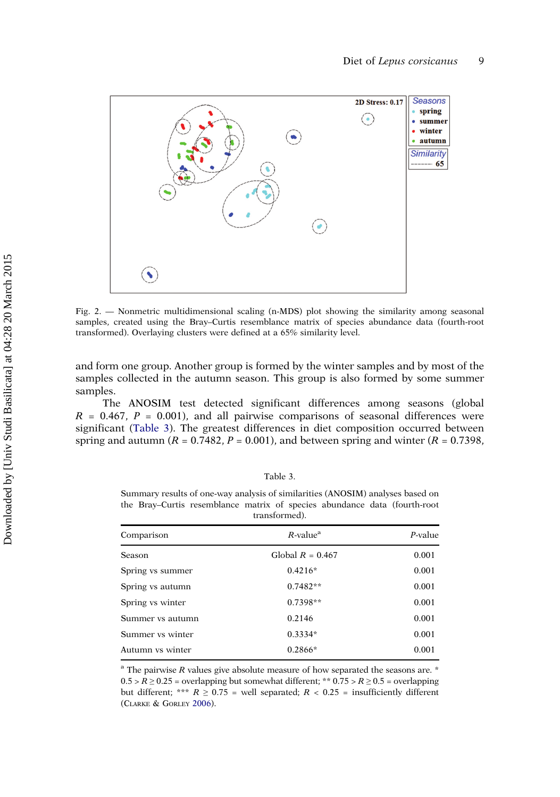<span id="page-10-0"></span>

Fig. 2. — Nonmetric multidimensional scaling (n-MDS) plot showing the similarity among seasonal samples, created using the Bray–Curtis resemblance matrix of species abundance data (fourth-root transformed). Overlaying clusters were defined at a 65% similarity level.

and form one group. Another group is formed by the winter samples and by most of the samples collected in the autumn season. This group is also formed by some summer samples.

The ANOSIM test detected significant differences among seasons (global  $R = 0.467$ ,  $P = 0.001$ ), and all pairwise comparisons of seasonal differences were significant (Table 3). The greatest differences in diet composition occurred between spring and autumn ( $R = 0.7482$ ,  $P = 0.001$ ), and between spring and winter ( $R = 0.7398$ ,

| able |  |  |
|------|--|--|
|      |  |  |

Summary results of one-way analysis of similarities (ANOSIM) analyses based on the Bray–Curtis resemblance matrix of species abundance data (fourth-root transformed).

| Comparison              | $R$ -value <sup>a</sup> | $P$ -value |
|-------------------------|-------------------------|------------|
| Season                  | Global $R = 0.467$      | 0.001      |
| Spring vs summer        | $0.4216*$               | 0.001      |
| Spring vs autumn        | $0.7482**$              | 0.001      |
| Spring vs winter        | $0.7398**$              | 0.001      |
| Summer <i>vs</i> autumn | 0.2146                  | 0.001      |
| Summer vs winter        | $0.3334*$               | 0.001      |
| Autumn vs winter        | $0.2866*$               | 0.001      |

 $^{\circ}$  The pairwise R values give absolute measure of how separated the seasons are.  $*$  $0.5 > R \ge 0.25$  = overlapping but somewhat different; \*\*  $0.75 > R \ge 0.5$  = overlapping but different; \*\*\*  $R \geq 0.75$  = well separated;  $R < 0.25$  = insufficiently different (CLARKE & GORLEY [2006\)](#page-14-0).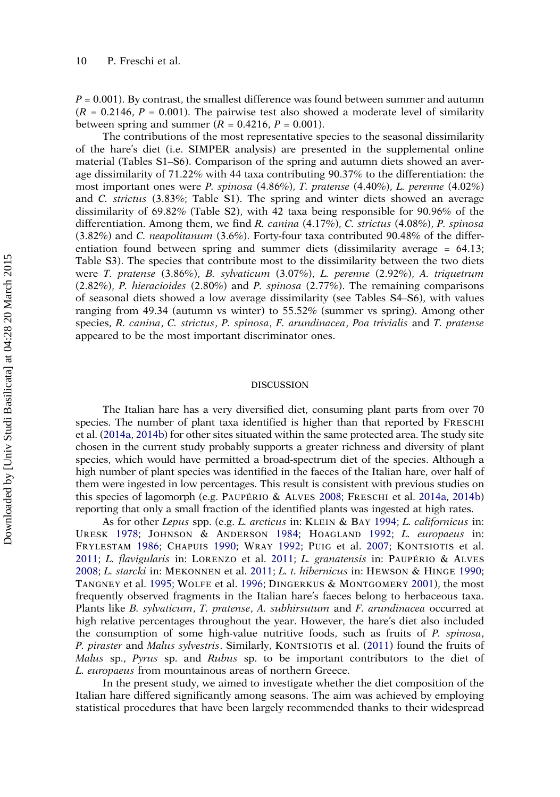$P = 0.001$ ). By contrast, the smallest difference was found between summer and autumn  $(R = 0.2146, P = 0.001)$ . The pairwise test also showed a moderate level of similarity between spring and summer  $(R = 0.4216, P = 0.001)$ .

The contributions of the most representative species to the seasonal dissimilarity of the hare's diet (i.e. SIMPER analysis) are presented in the supplemental online material (Tables S1–S6). Comparison of the spring and autumn diets showed an average dissimilarity of 71.22% with 44 taxa contributing 90.37% to the differentiation: the most important ones were P. spinosa (4.86%), T. pratense (4.40%), L. perenne (4.02%) and C. strictus (3.83%; Table S1). The spring and winter diets showed an average dissimilarity of 69.82% (Table S2), with 42 taxa being responsible for 90.96% of the differentiation. Among them, we find R. canina  $(4.17\%)$ , C. strictus  $(4.08\%)$ , P. spinosa (3.82%) and C. neapolitanum (3.6%). Forty-four taxa contributed 90.48% of the differentiation found between spring and summer diets (dissimilarity average = 64.13; Table S3). The species that contribute most to the dissimilarity between the two diets were T. pratense (3.86%), B. sylvaticum (3.07%), L. perenne (2.92%), A. triquetrum (2.82%), P. hieracioides (2.80%) and P. spinosa (2.77%). The remaining comparisons of seasonal diets showed a low average dissimilarity (see Tables S4–S6), with values ranging from 49.34 (autumn vs winter) to 55.52% (summer vs spring). Among other species, R. canina, C. strictus, P. spinosa, F. arundinacea, Poa trivialis and T. pratense appeared to be the most important discriminator ones.

#### DISCUSSION

The Italian hare has a very diversified diet, consuming plant parts from over 70 species. The number of plant taxa identified is higher than that reported by FRESCHI et al. [\(2014a](#page-14-0), [2014b\)](#page-14-0) for other sites situated within the same protected area. The study site chosen in the current study probably supports a greater richness and diversity of plant species, which would have permitted a broad-spectrum diet of the species. Although a high number of plant species was identified in the faeces of the Italian hare, over half of them were ingested in low percentages. This result is consistent with previous studies on this species of lagomorph (e.g. PAUPÉRIO & ALVES [2008;](#page-15-0) FRESCHI et al. [2014a](#page-14-0), [2014b](#page-14-0)) reporting that only a small fraction of the identified plants was ingested at high rates.

As for other Lepus spp. (e.g. L. arcticus in: KLEIN & BAY [1994](#page-15-0); L. californicus in: URESK [1978;](#page-16-0) JOHNSON & ANDERSON [1984;](#page-15-0) HOAGLAND [1992;](#page-15-0) L. europaeus in: FRYLESTAM [1986](#page-15-0); CHAPUIS [1990;](#page-14-0) WRAY [1992;](#page-16-0) PUIG et al. [2007;](#page-16-0) KONTSIOTIS et al. [2011](#page-15-0); L. flavigularis in: LORENZO et al. [2011;](#page-15-0) L. granatensis in: PAUPÉRIO & ALVES [2008](#page-15-0); L. starcki in: MEKONNEN et al. [2011](#page-15-0); L. t. hibernicus in: HEWSON & HINGE [1990](#page-15-0); TANGNEY et al. [1995](#page-16-0); WOLFE et al. [1996;](#page-16-0) DINGERKUS & MONTGOMERY [2001](#page-14-0)), the most frequently observed fragments in the Italian hare's faeces belong to herbaceous taxa. Plants like B. sylvaticum, T. pratense, A. subhirsutum and F. arundinacea occurred at high relative percentages throughout the year. However, the hare's diet also included the consumption of some high-value nutritive foods, such as fruits of P. spinosa, P. piraster and Malus sylvestris. Similarly, KONTSIOTIS et al. [\(2011](#page-15-0)) found the fruits of Malus sp., Pyrus sp. and Rubus sp. to be important contributors to the diet of L. europaeus from mountainous areas of northern Greece.

In the present study, we aimed to investigate whether the diet composition of the Italian hare differed significantly among seasons. The aim was achieved by employing statistical procedures that have been largely recommended thanks to their widespread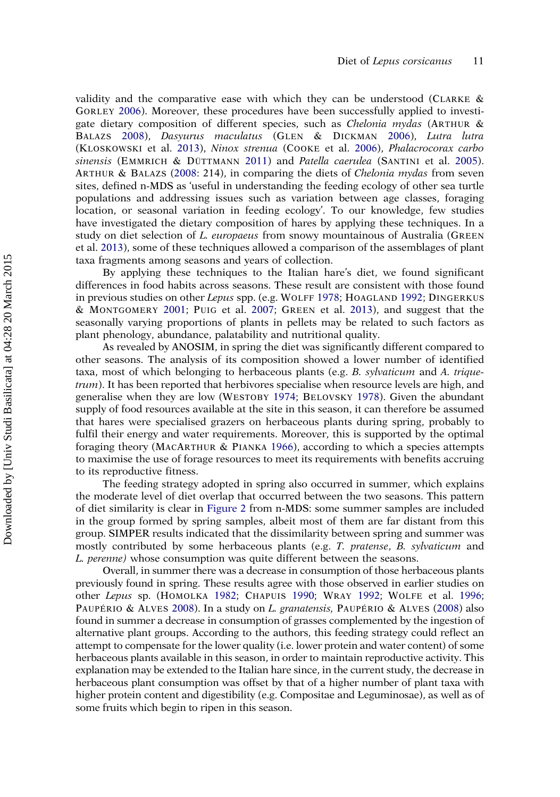validity and the comparative ease with which they can be understood (CLARKE & GORLEY [2006](#page-14-0)). Moreover, these procedures have been successfully applied to investigate dietary composition of different species, such as Chelonia mydas (ARTHUR & BALAZS [2008](#page-14-0)), Dasyurus maculatus (GLEN & DICKMAN [2006\)](#page-15-0), Lutra lutra (KLOSKOWSKI et al. [2013\)](#page-15-0), Ninox strenua (COOKE et al. [2006](#page-14-0)), Phalacrocorax carbo sinensis (EMMRICH & DÜTTMANN [2011\)](#page-14-0) and Patella caerulea (SANTINI et al. [2005\)](#page-16-0). ARTHUR & BALAZS [\(2008](#page-14-0): 214), in comparing the diets of Chelonia mydas from seven sites, defined n-MDS as 'useful in understanding the feeding ecology of other sea turtle populations and addressing issues such as variation between age classes, foraging location, or seasonal variation in feeding ecology'. To our knowledge, few studies have investigated the dietary composition of hares by applying these techniques. In a study on diet selection of L. europaeus from snowy mountainous of Australia (GREEN et al. [2013\)](#page-15-0), some of these techniques allowed a comparison of the assemblages of plant taxa fragments among seasons and years of collection.

By applying these techniques to the Italian hare's diet, we found significant differences in food habits across seasons. These result are consistent with those found in previous studies on other Lepus spp. (e.g. WOLFF [1978](#page-16-0); HOAGLAND [1992](#page-15-0); DINGERKUS & MONTGOMERY [2001;](#page-14-0) PUIG et al. [2007](#page-16-0); GREEN et al. [2013](#page-15-0)), and suggest that the seasonally varying proportions of plants in pellets may be related to such factors as plant phenology, abundance, palatability and nutritional quality.

As revealed by ANOSIM, in spring the diet was significantly different compared to other seasons. The analysis of its composition showed a lower number of identified taxa, most of which belonging to herbaceous plants (e.g. B. sylvaticum and A. triquetrum). It has been reported that herbivores specialise when resource levels are high, and generalise when they are low (WESTOBY [1974;](#page-16-0) BELOVSKY [1978](#page-14-0)). Given the abundant supply of food resources available at the site in this season, it can therefore be assumed that hares were specialised grazers on herbaceous plants during spring, probably to fulfil their energy and water requirements. Moreover, this is supported by the optimal foraging theory (MACARTHUR & PIANKA [1966](#page-15-0)), according to which a species attempts to maximise the use of forage resources to meet its requirements with benefits accruing to its reproductive fitness.

The feeding strategy adopted in spring also occurred in summer, which explains the moderate level of diet overlap that occurred between the two seasons. This pattern of diet similarity is clear in [Figure 2](#page-10-0) from n-MDS: some summer samples are included in the group formed by spring samples, albeit most of them are far distant from this group. SIMPER results indicated that the dissimilarity between spring and summer was mostly contributed by some herbaceous plants (e.g. T. pratense, B. sylvaticum and L. perenne) whose consumption was quite different between the seasons.

Overall, in summer there was a decrease in consumption of those herbaceous plants previously found in spring. These results agree with those observed in earlier studies on other Lepus sp. (HOMOLKA [1982](#page-15-0); CHAPUIS [1990;](#page-14-0) WRAY [1992;](#page-16-0) WOLFE et al. [1996](#page-16-0); PAUPÉRIO & ALVES [2008\)](#page-15-0). In a study on L. granatensis, PAUPÉRIO & ALVES [\(2008](#page-15-0)) also found in summer a decrease in consumption of grasses complemented by the ingestion of alternative plant groups. According to the authors, this feeding strategy could reflect an attempt to compensate for the lower quality (i.e. lower protein and water content) of some herbaceous plants available in this season, in order to maintain reproductive activity. This explanation may be extended to the Italian hare since, in the current study, the decrease in herbaceous plant consumption was offset by that of a higher number of plant taxa with higher protein content and digestibility (e.g. Compositae and Leguminosae), as well as of some fruits which begin to ripen in this season.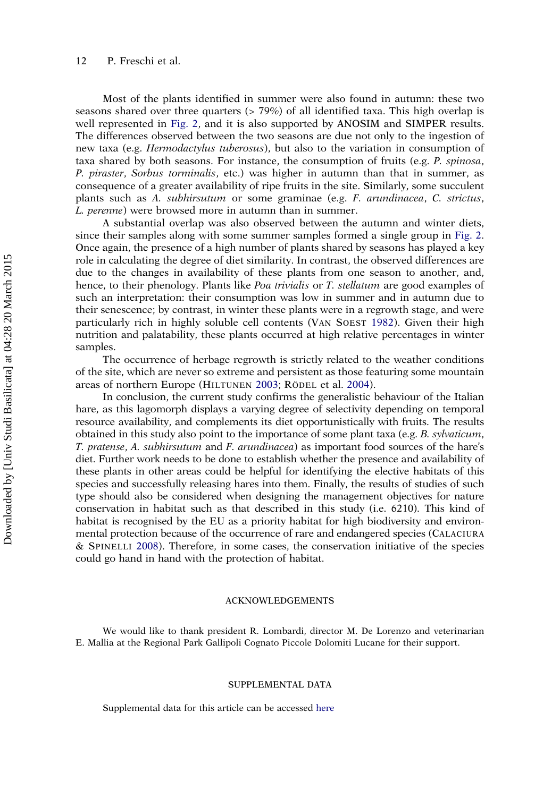Most of the plants identified in summer were also found in autumn: these two seasons shared over three quarters (> 79%) of all identified taxa. This high overlap is well represented in [Fig. 2,](#page-10-0) and it is also supported by ANOSIM and SIMPER results. The differences observed between the two seasons are due not only to the ingestion of new taxa (e.g. Hermodactylus tuberosus), but also to the variation in consumption of taxa shared by both seasons. For instance, the consumption of fruits (e.g. P. spinosa, P. piraster, Sorbus torminalis, etc.) was higher in autumn than that in summer, as consequence of a greater availability of ripe fruits in the site. Similarly, some succulent plants such as A. subhirsutum or some graminae (e.g. F. arundinacea, C. strictus, L. perenne) were browsed more in autumn than in summer.

A substantial overlap was also observed between the autumn and winter diets, since their samples along with some summer samples formed a single group in [Fig. 2](#page-10-0). Once again, the presence of a high number of plants shared by seasons has played a key role in calculating the degree of diet similarity. In contrast, the observed differences are due to the changes in availability of these plants from one season to another, and, hence, to their phenology. Plants like *Poa trivialis* or *T. stellatum* are good examples of such an interpretation: their consumption was low in summer and in autumn due to their senescence; by contrast, in winter these plants were in a regrowth stage, and were particularly rich in highly soluble cell contents (VAN SOEST [1982\)](#page-16-0). Given their high nutrition and palatability, these plants occurred at high relative percentages in winter samples.

The occurrence of herbage regrowth is strictly related to the weather conditions of the site, which are never so extreme and persistent as those featuring some mountain areas of northern Europe (HILTUNEN [2003](#page-15-0); RÖDEL et al. [2004\)](#page-16-0).

In conclusion, the current study confirms the generalistic behaviour of the Italian hare, as this lagomorph displays a varying degree of selectivity depending on temporal resource availability, and complements its diet opportunistically with fruits. The results obtained in this study also point to the importance of some plant taxa (e.g. B. sylvaticum, T. pratense, A. subhirsutum and F. arundinacea) as important food sources of the hare's diet. Further work needs to be done to establish whether the presence and availability of these plants in other areas could be helpful for identifying the elective habitats of this species and successfully releasing hares into them. Finally, the results of studies of such type should also be considered when designing the management objectives for nature conservation in habitat such as that described in this study (i.e. 6210). This kind of habitat is recognised by the EU as a priority habitat for high biodiversity and environmental protection because of the occurrence of rare and endangered species (CALACIURA & SPINELLI [2008\)](#page-14-0). Therefore, in some cases, the conservation initiative of the species could go hand in hand with the protection of habitat.

#### ACKNOWLEDGEMENTS

We would like to thank president R. Lombardi, director M. De Lorenzo and veterinarian E. Mallia at the Regional Park Gallipoli Cognato Piccole Dolomiti Lucane for their support.

#### SUPPLEMENTAL DATA

Supplemental data for this article can be accessed [here](http://dx.doi.org/10.1080/03949370.2015.1022906)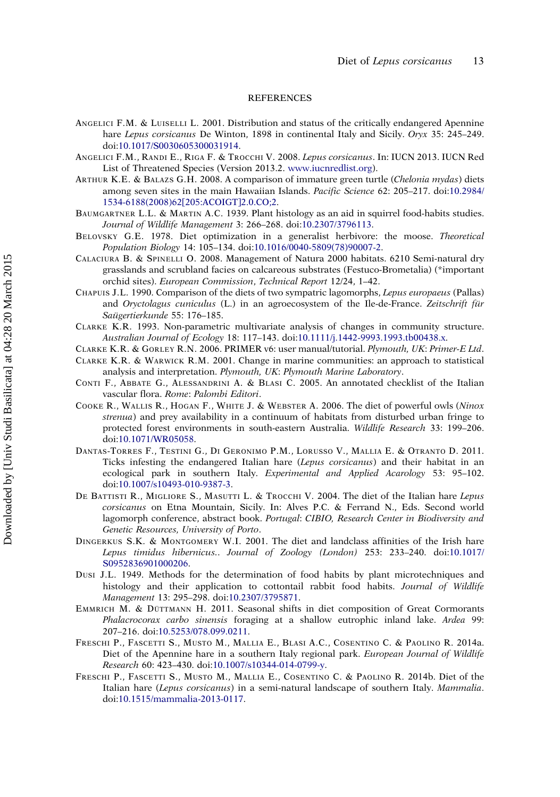#### **REFERENCES**

- <span id="page-14-0"></span>ANGELICI F.M. & LUISELLI L. 2001. Distribution and status of the critically endangered Apennine hare Lepus corsicanus De Winton, 1898 in continental Italy and Sicily. Oryx 35: 245–249. doi:[10.1017/S0030605300031914](http://dx.doi.org/10.1017/S0030605300031914).
- ANGELICI F.M., RANDI E., RIGA F. & TROCCHI V. 2008. Lepus corsicanus. In: IUCN 2013. IUCN Red List of Threatened Species (Version 2013.2. [www.iucnredlist.org](http://www.iucnredlist.org)).
- ARTHUR K.E. & BALAZS G.H. 2008. A comparison of immature green turtle (Chelonia mydas) diets among seven sites in the main Hawaiian Islands. Pacific Science 62: 205–217. doi:[10.2984/](http://dx.doi.org/10.2984/1534-6188(2008)62[205:ACOIGT]2.0.CO;2) [1534-6188\(2008\)62\[205:ACOIGT\]2.0.CO;2.](http://dx.doi.org/10.2984/1534-6188(2008)62[205:ACOIGT]2.0.CO;2)
- BAUMGARTNER L.L. & MARTIN A.C. 1939. Plant histology as an aid in squirrel food-habits studies. Journal of Wildlife Management 3: 266–268. doi:[10.2307/3796113](http://dx.doi.org/10.2307/3796113).
- BELOVSKY G.E. 1978. Diet optimization in a generalist herbivore: the moose. Theoretical Population Biology 14: 105–134. doi:[10.1016/0040-5809\(78\)90007-2.](http://dx.doi.org/10.1016/0040-5809(78)90007-2)
- CALACIURA B. & SPINELLI O. 2008. Management of Natura 2000 habitats. 6210 Semi-natural dry grasslands and scrubland facies on calcareous substrates (Festuco-Brometalia) (\*important orchid sites). European Commission, Technical Report 12/24, 1–42.
- CHAPUIS J.L. 1990. Comparison of the diets of two sympatric lagomorphs, Lepus europaeus (Pallas) and Oryctolagus cuniculus (L.) in an agroecosystem of the Ile-de-France. Zeitschrift für Saügertierkunde 55: 176–185.
- CLARKE K.R. 1993. Non-parametric multivariate analysis of changes in community structure. Australian Journal of Ecology 18: 117–143. doi:[10.1111/j.1442-9993.1993.tb00438.x.](http://dx.doi.org/10.1111/j.1442-9993.1993.tb00438.x)
- CLARKE K.R. & GORLEY R.N. 2006. PRIMER v6: user manual/tutorial. Plymouth, UK: Primer-E Ltd.
- CLARKE K.R. & WARWICK R.M. 2001. Change in marine communities: an approach to statistical analysis and interpretation. Plymouth, UK: Plymouth Marine Laboratory.
- CONTI F., ABBATE G., ALESSANDRINI A. & BLASI C. 2005. An annotated checklist of the Italian vascular flora. Rome: Palombi Editori.
- COOKE R., WALLIS R., HOGAN F., WHITE J. & WEBSTER A. 2006. The diet of powerful owls (Ninox strenua) and prey availability in a continuum of habitats from disturbed urban fringe to protected forest environments in south-eastern Australia. Wildlife Research 33: 199–206. doi:[10.1071/WR05058.](http://dx.doi.org/10.1071/WR05058)
- DANTAS-TORRES F., TESTINI G., DI GERONIMO P.M., LORUSSO V., MALLIA E. & OTRANTO D. 2011. Ticks infesting the endangered Italian hare *(Lepus corsicanus)* and their habitat in an ecological park in southern Italy. Experimental and Applied Acarology 53: 95–102. doi:[10.1007/s10493-010-9387-3](http://dx.doi.org/10.1007/s10493-010-9387-3).
- DE BATTISTI R., MIGLIORE S., MASUTTI L. & TROCCHI V. 2004. The diet of the Italian hare Lepus corsicanus on Etna Mountain, Sicily. In: Alves P.C. & Ferrand N., Eds. Second world lagomorph conference, abstract book. Portugal: CIBIO, Research Center in Biodiversity and Genetic Resources, University of Porto.
- DINGERKUS S.K. & MONTGOMERY W.I. 2001. The diet and landclass affinities of the Irish hare Lepus timidus hibernicus.. Journal of Zoology (London) 253: 233–240. doi:[10.1017/](http://dx.doi.org/10.1017/S0952836901000206) [S0952836901000206.](http://dx.doi.org/10.1017/S0952836901000206)
- DUSI J.L. 1949. Methods for the determination of food habits by plant microtechniques and histology and their application to cottontail rabbit food habits. Journal of Wildlife Management 13: 295–298. doi:[10.2307/3795871.](http://dx.doi.org/10.2307/3795871)
- EMMRICH M. & DÜTTMANN H. 2011. Seasonal shifts in diet composition of Great Cormorants Phalacrocorax carbo sinensis foraging at a shallow eutrophic inland lake. Ardea 99: 207–216. doi:[10.5253/078.099.0211](http://dx.doi.org/10.5253/078.099.0211).
- FRESCHI P., FASCETTI S., MUSTO M., MALLIA E., BLASI A.C., COSENTINO C. & PAOLINO R. 2014a. Diet of the Apennine hare in a southern Italy regional park. European Journal of Wildlife Research 60: 423–430. doi:[10.1007/s10344-014-0799-y](http://dx.doi.org/10.1007/s10344-014-0799-y).
- FRESCHI P., FASCETTI S., MUSTO M., MALLIA E., COSENTINO C. & PAOLINO R. 2014b. Diet of the Italian hare *(Lepus corsicanus)* in a semi-natural landscape of southern Italy. Mammalia. doi:[10.1515/mammalia-2013-0117.](http://dx.doi.org/10.1515/mammalia-2013-0117)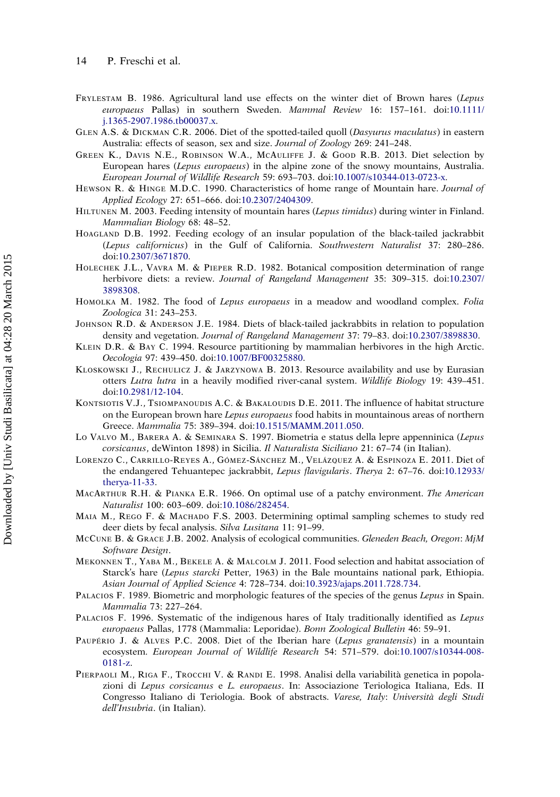- <span id="page-15-0"></span>FRYLESTAM B. 1986. Agricultural land use effects on the winter diet of Brown hares (Lepus europaeus Pallas) in southern Sweden. Mammal Review 16: 157–161. doi:[10.1111/](http://dx.doi.org/10.1111/j.1365-2907.1986.tb00037.x) [j.1365-2907.1986.tb00037.x](http://dx.doi.org/10.1111/j.1365-2907.1986.tb00037.x).
- GLEN A.S. & DICKMAN C.R. 2006. Diet of the spotted-tailed quoll (Dasyurus maculatus) in eastern Australia: effects of season, sex and size. Journal of Zoology 269: 241-248.
- GREEN K., DAVIS N.E., ROBINSON W.A., MCAULIFFE J. & GOOD R.B. 2013. Diet selection by European hares (Lepus europaeus) in the alpine zone of the snowy mountains, Australia. European Journal of Wildlife Research 59: 693–703. doi:[10.1007/s10344-013-0723-x](http://dx.doi.org/10.1007/s10344-013-0723-x).
- HEWSON R. & HINGE M.D.C. 1990. Characteristics of home range of Mountain hare. Journal of Applied Ecology 27: 651–666. doi:[10.2307/2404309.](http://dx.doi.org/10.2307/2404309)
- HILTUNEN M. 2003. Feeding intensity of mountain hares (Lepus timidus) during winter in Finland. Mammalian Biology 68: 48–52.
- HOAGLAND D.B. 1992. Feeding ecology of an insular population of the black-tailed jackrabbit (Lepus californicus) in the Gulf of California. Southwestern Naturalist 37: 280–286. doi:[10.2307/3671870.](http://dx.doi.org/10.2307/3671870)
- HOLECHEK J.L., VAVRA M. & PIEPER R.D. 1982. Botanical composition determination of range herbivore diets: a review. Journal of Rangeland Management 35: 309-315. doi:[10.2307/](http://dx.doi.org/10.2307/3898308) [3898308](http://dx.doi.org/10.2307/3898308).
- HOMOLKA M. 1982. The food of Lepus europaeus in a meadow and woodland complex. Folia Zoologica 31: 243–253.
- JOHNSON R.D. & ANDERSON J.E. 1984. Diets of black-tailed jackrabbits in relation to population density and vegetation. Journal of Rangeland Management 37: 79-83. doi:[10.2307/3898830](http://dx.doi.org/10.2307/3898830).
- KLEIN D.R. & BAY C. 1994. Resource partitioning by mammalian herbivores in the high Arctic. Oecologia 97: 439–450. doi:[10.1007/BF00325880.](http://dx.doi.org/10.1007/BF00325880)
- KLOSKOWSKI J., RECHULICZ J. & JARZYNOWA B. 2013. Resource availability and use by Eurasian otters Lutra lutra in a heavily modified river-canal system. Wildlife Biology 19: 439-451. doi:[10.2981/12-104](http://dx.doi.org/10.2981/12-104).
- KONTSIOTIS V.J., TSIOMPANOUDIS A.C. & BAKALOUDIS D.E. 2011. The influence of habitat structure on the European brown hare Lepus europaeus food habits in mountainous areas of northern Greece. Mammalia 75: 389–394. doi:[10.1515/MAMM.2011.050.](http://dx.doi.org/10.1515/MAMM.2011.050)
- LO VALVO M., BARERA A. & SEMINARA S. 1997. Biometria e status della lepre appenninica (Lepus corsicanus, deWinton 1898) in Sicilia. Il Naturalista Siciliano 21: 67–74 (in Italian).
- LORENZO C., CARRILLO-REYES A., GÓMEZ-SÁNCHEZ M., VELÁZQUEZ A. & ESPINOZA E. 2011. Diet of the endangered Tehuantepec jackrabbit, Lepus flavigularis. Therya 2: 67–76. doi:[10.12933/](http://dx.doi.org/10.12933/therya-11-33) [therya-11-33](http://dx.doi.org/10.12933/therya-11-33).
- MACARTHUR R.H. & PIANKA E.R. 1966. On optimal use of a patchy environment. The American Naturalist 100: 603–609. doi:[10.1086/282454.](http://dx.doi.org/10.1086/282454)
- MAIA M., REGO F. & MACHADO F.S. 2003. Determining optimal sampling schemes to study red deer diets by fecal analysis. Silva Lusitana 11: 91-99.
- MCCUNE B. & GRACE J.B. 2002. Analysis of ecological communities. Gleneden Beach, Oregon: MjM Software Design.
- MEKONNEN T., YABA M., BEKELE A. & MALCOLM J. 2011. Food selection and habitat association of Starck's hare (Lepus starcki Petter, 1963) in the Bale mountains national park, Ethiopia. Asian Journal of Applied Science 4: 728–734. doi:[10.3923/ajaps.2011.728.734.](http://dx.doi.org/10.3923/ajaps.2011.728.734)
- PALACIOS F. 1989. Biometric and morphologic features of the species of the genus Lepus in Spain. Mammalia 73: 227–264.
- PALACIOS F. 1996. Systematic of the indigenous hares of Italy traditionally identified as Lepus europaeus Pallas, 1778 (Mammalia: Leporidae). Bonn Zoological Bulletin 46: 59–91.
- PAUPÉRIO J. & ALVES P.C. 2008. Diet of the Iberian hare *(Lepus granatensis)* in a mountain ecosystem. European Journal of Wildlife Research 54: 571–579. doi:[10.1007/s10344-008-](http://dx.doi.org/10.1007/s10344-008-0181-z) [0181-z.](http://dx.doi.org/10.1007/s10344-008-0181-z)
- PIERPAOLI M., RIGA F., TROCCHI V. & RANDI E. 1998. Analisi della variabilità genetica in popolazioni di Lepus corsicanus e L. europaeus. In: Associazione Teriologica Italiana, Eds. II Congresso Italiano di Teriologia. Book of abstracts. Varese, Italy: Università degli Studi dell'Insubria. (in Italian).